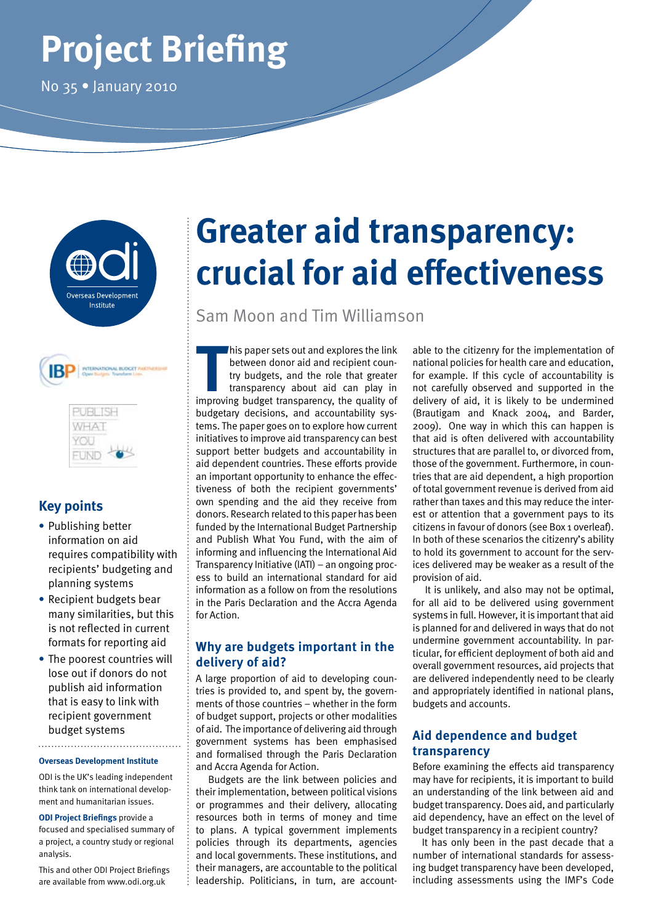# **Project Briefing**

No 35 • January 2010



| <b>IB</b> | INTERNATIONAL BUDGET PARTNERS! |
|-----------|--------------------------------|
|           |                                |
|           |                                |

| ۳<br>÷ |  |
|--------|--|
|        |  |

## **Key points**

- **•** Publishing better information on aid requires compatibility with recipients' budgeting and planning systems
- **•** Recipient budgets bear many similarities, but this is not reflected in current formats for reporting aid
- **•** The poorest countries will lose out if donors do not publish aid information that is easy to link with recipient government budget systems

#### **Overseas Development Institute**

ODI is the UK's leading independent think tank on international development and humanitarian issues.

**ODI Project Briefings** provide a focused and specialised summary of a project, a country study or regional analysis.

This and other ODI Project Briefings are available from www.odi.org.uk

## **Greater aid transparency: crucial for aid effectiveness**

Sam Moon and Tim Williamson

This paper sets out and explores the link<br>between donor aid and recipient coun-<br>try budgets, and the role that greater<br>transparency about aid can play in<br>improving budget transparency, the quality of his paper sets out and explores the link between donor aid and recipient country budgets, and the role that greater transparency about aid can play in budgetary decisions, and accountability systems. The paper goes on to explore how current initiatives to improve aid transparency can best support better budgets and accountability in aid dependent countries. These efforts provide an important opportunity to enhance the effectiveness of both the recipient governments' own spending and the aid they receive from donors. Research related to this paper has been funded by the International Budget Partnership and Publish What You Fund, with the aim of informing and influencing the International Aid Transparency Initiative (IATI) – an ongoing process to build an international standard for aid information as a follow on from the resolutions in the Paris Declaration and the Accra Agenda for Action.

## **Why are budgets important in the delivery of aid?**

A large proportion of aid to developing countries is provided to, and spent by, the governments of those countries – whether in the form of budget support, projects or other modalities of aid. The importance of delivering aid through government systems has been emphasised and formalised through the Paris Declaration and Accra Agenda for Action.

Budgets are the link between policies and their implementation, between political visions or programmes and their delivery, allocating resources both in terms of money and time to plans. A typical government implements policies through its departments, agencies and local governments. These institutions, and their managers, are accountable to the political leadership. Politicians, in turn, are account-

able to the citizenry for the implementation of national policies for health care and education, for example. If this cycle of accountability is not carefully observed and supported in the delivery of aid, it is likely to be undermined (Brautigam and Knack 2004, and Barder, 2009). One way in which this can happen is that aid is often delivered with accountability structures that are parallel to, or divorced from, those of the government. Furthermore, in countries that are aid dependent, a high proportion of total government revenue is derived from aid rather than taxes and this may reduce the interest or attention that a government pays to its citizens in favour of donors (see Box 1 overleaf). In both of these scenarios the citizenry's ability to hold its government to account for the services delivered may be weaker as a result of the provision of aid.

It is unlikely, and also may not be optimal, for all aid to be delivered using government systems in full. However, it is important that aid is planned for and delivered in ways that do not undermine government accountability. In particular, for efficient deployment of both aid and overall government resources, aid projects that are delivered independently need to be clearly and appropriately identified in national plans, budgets and accounts.

## **Aid dependence and budget transparency**

Before examining the effects aid transparency may have for recipients, it is important to build an understanding of the link between aid and budget transparency. Does aid, and particularly aid dependency, have an effect on the level of budget transparency in a recipient country?

It has only been in the past decade that a number of international standards for assessing budget transparency have been developed, including assessments using the IMF's Code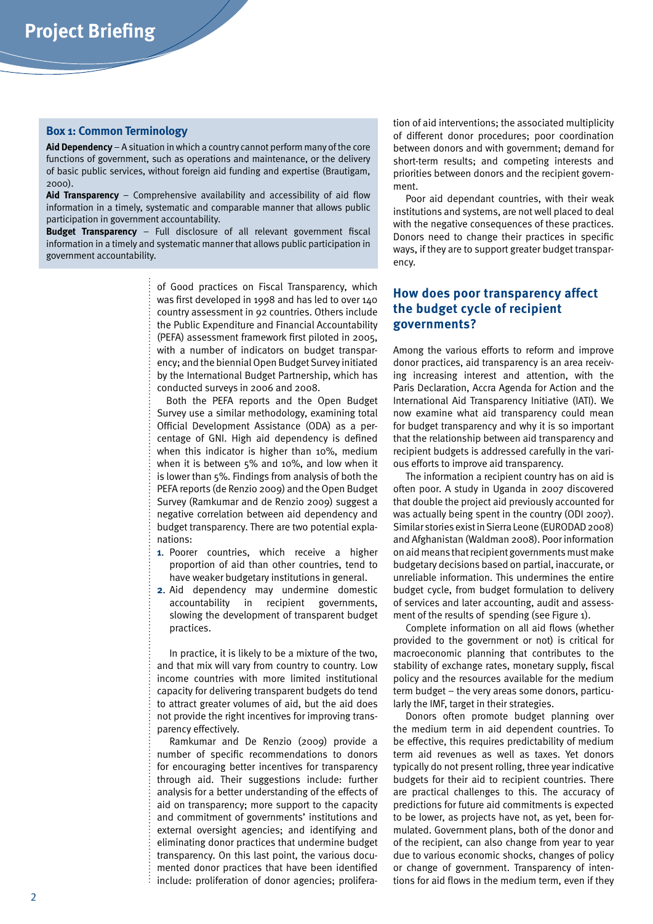#### **Box 1: Common Terminology**

**Aid Dependency** – A situation in which a country cannot perform many of the core functions of government, such as operations and maintenance, or the delivery of basic public services, without foreign aid funding and expertise (Brautigam, 2000).

**Aid Transparency** – Comprehensive availability and accessibility of aid flow information in a timely, systematic and comparable manner that allows public participation in government accountability.

**Budget Transparency** – Full disclosure of all relevant government fiscal information in a timely and systematic manner that allows public participation in government accountability.

> of Good practices on Fiscal Transparency, which was first developed in 1998 and has led to over 140 country assessment in 92 countries. Others include the Public Expenditure and Financial Accountability (PEFA) assessment framework first piloted in 2005, with a number of indicators on budget transparency; and the biennial Open Budget Survey initiated by the International Budget Partnership, which has conducted surveys in 2006 and 2008.

> Both the PEFA reports and the Open Budget Survey use a similar methodology, examining total Official Development Assistance (ODA) as a percentage of GNI. High aid dependency is defined when this indicator is higher than 10%, medium when it is between 5% and 10%, and low when it is lower than 5%. Findings from analysis of both the PEFA reports (de Renzio 2009) and the Open Budget Survey (Ramkumar and de Renzio 2009) suggest a negative correlation between aid dependency and budget transparency. There are two potential explanations:

- **1**. Poorer countries, which receive a higher proportion of aid than other countries, tend to have weaker budgetary institutions in general.
- **2**. Aid dependency may undermine domestic accountability in recipient governments, slowing the development of transparent budget practices.

In practice, it is likely to be a mixture of the two, and that mix will vary from country to country. Low income countries with more limited institutional capacity for delivering transparent budgets do tend to attract greater volumes of aid, but the aid does not provide the right incentives for improving transparency effectively.

Ramkumar and De Renzio (2009) provide a number of specific recommendations to donors for encouraging better incentives for transparency through aid. Their suggestions include: further analysis for a better understanding of the effects of aid on transparency; more support to the capacity and commitment of governments' institutions and external oversight agencies; and identifying and eliminating donor practices that undermine budget transparency. On this last point, the various documented donor practices that have been identified include: proliferation of donor agencies; prolifera-

tion of aid interventions; the associated multiplicity of different donor procedures; poor coordination between donors and with government; demand for short-term results; and competing interests and priorities between donors and the recipient government.

Poor aid dependant countries, with their weak institutions and systems, are not well placed to deal with the negative consequences of these practices. Donors need to change their practices in specific ways, if they are to support greater budget transparency.

### **How does poor transparency affect the budget cycle of recipient governments?**

Among the various efforts to reform and improve donor practices, aid transparency is an area receiving increasing interest and attention, with the Paris Declaration, Accra Agenda for Action and the International Aid Transparency Initiative (IATI). We now examine what aid transparency could mean for budget transparency and why it is so important that the relationship between aid transparency and recipient budgets is addressed carefully in the various efforts to improve aid transparency.

The information a recipient country has on aid is often poor. A study in Uganda in 2007 discovered that double the project aid previously accounted for was actually being spent in the country (ODI 2007). Similar stories exist in Sierra Leone (EURODAD 2008) and Afghanistan (Waldman 2008). Poor information on aid means that recipient governments must make budgetary decisions based on partial, inaccurate, or unreliable information. This undermines the entire budget cycle, from budget formulation to delivery of services and later accounting, audit and assessment of the results of spending (see Figure 1).

Complete information on all aid flows (whether provided to the government or not) is critical for macroeconomic planning that contributes to the stability of exchange rates, monetary supply, fiscal policy and the resources available for the medium term budget – the very areas some donors, particularly the IMF, target in their strategies.

Donors often promote budget planning over the medium term in aid dependent countries. To be effective, this requires predictability of medium term aid revenues as well as taxes. Yet donors typically do not present rolling, three year indicative budgets for their aid to recipient countries. There are practical challenges to this. The accuracy of predictions for future aid commitments is expected to be lower, as projects have not, as yet, been formulated. Government plans, both of the donor and of the recipient, can also change from year to year due to various economic shocks, changes of policy or change of government. Transparency of intentions for aid flows in the medium term, even if they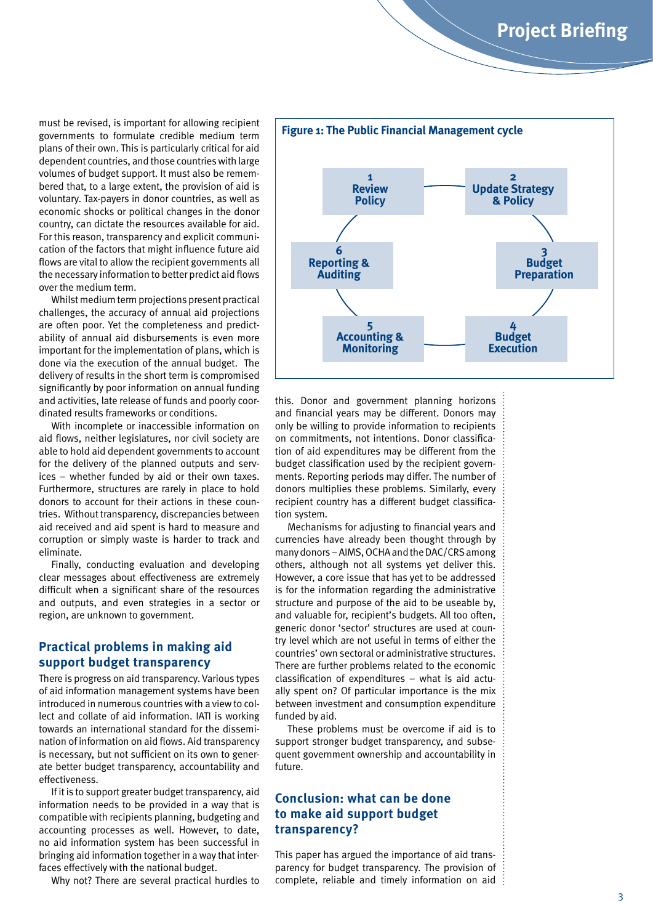must be revised, is important for allowing recipient governments to formulate credible medium term plans of their own. This is particularly critical for aid dependent countries, and those countries with large volumes of budget support. It must also be remembered that, to a large extent, the provision of aid is voluntary. Tax-payers in donor countries, as well as economic shocks or political changes in the donor country, can dictate the resources available for aid. For this reason, transparency and explicit communication of the factors that might influence future aid flows are vital to allow the recipient governments all the necessary information to better predict aid flows over the medium term.

Whilst medium term projections present practical challenges, the accuracy of annual aid projections are often poor. Yet the completeness and predictability of annual aid disbursements is even more important for the implementation of plans, which is done via the execution of the annual budget. The delivery of results in the short term is compromised significantly by poor information on annual funding and activities, late release of funds and poorly coordinated results frameworks or conditions.

With incomplete or inaccessible information on aid flows, neither legislatures, nor civil society are able to hold aid dependent governments to account for the delivery of the planned outputs and services – whether funded by aid or their own taxes. Furthermore, structures are rarely in place to hold donors to account for their actions in these countries. Without transparency, discrepancies between aid received and aid spent is hard to measure and corruption or simply waste is harder to track and eliminate.

Finally, conducting evaluation and developing clear messages about effectiveness are extremely difficult when a significant share of the resources and outputs, and even strategies in a sector or region, are unknown to government.

### **Practical problems in making aid support budget transparency**

There is progress on aid transparency. Various types of aid information management systems have been introduced in numerous countries with a view to collect and collate of aid information. IATI is working towards an international standard for the dissemination of information on aid flows. Aid transparency is necessary, but not sufficient on its own to generate better budget transparency, accountability and effectiveness.

If it is to support greater budget transparency, aid information needs to be provided in a way that is compatible with recipients planning, budgeting and accounting processes as well. However, to date, no aid information system has been successful in bringing aid information together in a way that interfaces effectively with the national budget.

Why not? There are several practical hurdles to



this. Donor and government planning horizons and financial years may be different. Donors may only be willing to provide information to recipients on commitments, not intentions. Donor classification of aid expenditures may be different from the budget classification used by the recipient governments. Reporting periods may differ. The number of donors multiplies these problems. Similarly, every recipient country has a different budget classification system.

Mechanisms for adjusting to financial years and currencies have already been thought through by many donors – AIMS, OCHA and the DAC/CRS among others, although not all systems yet deliver this. However, a core issue that has yet to be addressed is for the information regarding the administrative structure and purpose of the aid to be useable by, and valuable for, recipient's budgets. All too often, generic donor 'sector' structures are used at country level which are not useful in terms of either the countries' own sectoral or administrative structures. There are further problems related to the economic classification of expenditures – what is aid actually spent on? Of particular importance is the mix between investment and consumption expenditure funded by aid.

These problems must be overcome if aid is to support stronger budget transparency, and subsequent government ownership and accountability in future.

### **Conclusion: what can be done to make aid support budget transparency?**

This paper has argued the importance of aid transparency for budget transparency. The provision of complete, reliable and timely information on aid